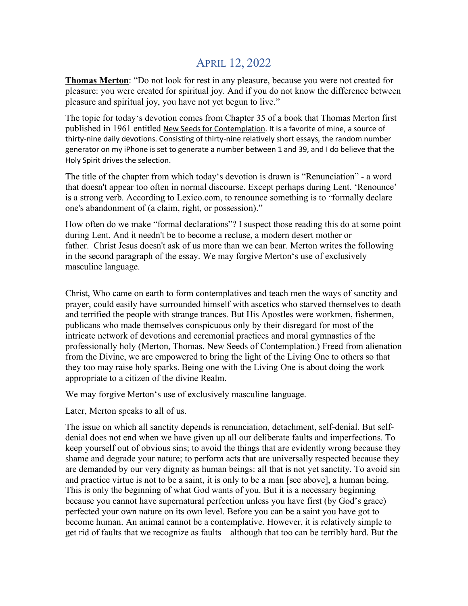## APRIL 12, 2022

**Thomas Merton**: "Do not look for rest in any pleasure, because you were not created for pleasure: you were created for spiritual joy. And if you do not know the difference between pleasure and spiritual joy, you have not yet begun to live."

The topic for today's devotion comes from Chapter 35 of a book that Thomas Merton first published in 1961 entitled New Seeds for Contemplation. It is a favorite of mine, a source of thirty-nine daily devotions. Consisting of thirty-nine relatively short essays, the random number generator on my iPhone is set to generate a number between 1 and 39, and I do believe that the Holy Spirit drives the selection.

The title of the chapter from which today's devotion is drawn is "Renunciation" - a word that doesn't appear too often in normal discourse. Except perhaps during Lent. 'Renounce' is a strong verb. According to Lexico.com, to renounce something is to "formally declare one's abandonment of (a claim, right, or possession)."

How often do we make "formal declarations"? I suspect those reading this do at some point during Lent. And it needn't be to become a recluse, a modern desert mother or father. Christ Jesus doesn't ask of us more than we can bear. Merton writes the following in the second paragraph of the essay. We may forgive Merton's use of exclusively masculine language.

Christ, Who came on earth to form contemplatives and teach men the ways of sanctity and prayer, could easily have surrounded himself with ascetics who starved themselves to death and terrified the people with strange trances. But His Apostles were workmen, fishermen, publicans who made themselves conspicuous only by their disregard for most of the intricate network of devotions and ceremonial practices and moral gymnastics of the professionally holy (Merton, Thomas. New Seeds of Contemplation.) Freed from alienation from the Divine, we are empowered to bring the light of the Living One to others so that they too may raise holy sparks. Being one with the Living One is about doing the work appropriate to a citizen of the divine Realm.

We may forgive Merton's use of exclusively masculine language.

Later, Merton speaks to all of us.

The issue on which all sanctity depends is renunciation, detachment, self-denial. But selfdenial does not end when we have given up all our deliberate faults and imperfections. To keep yourself out of obvious sins; to avoid the things that are evidently wrong because they shame and degrade your nature; to perform acts that are universally respected because they are demanded by our very dignity as human beings: all that is not yet sanctity. To avoid sin and practice virtue is not to be a saint, it is only to be a man [see above], a human being. This is only the beginning of what God wants of you. But it is a necessary beginning because you cannot have supernatural perfection unless you have first (by God's grace) perfected your own nature on its own level. Before you can be a saint you have got to become human. An animal cannot be a contemplative. However, it is relatively simple to get rid of faults that we recognize as faults—although that too can be terribly hard. But the